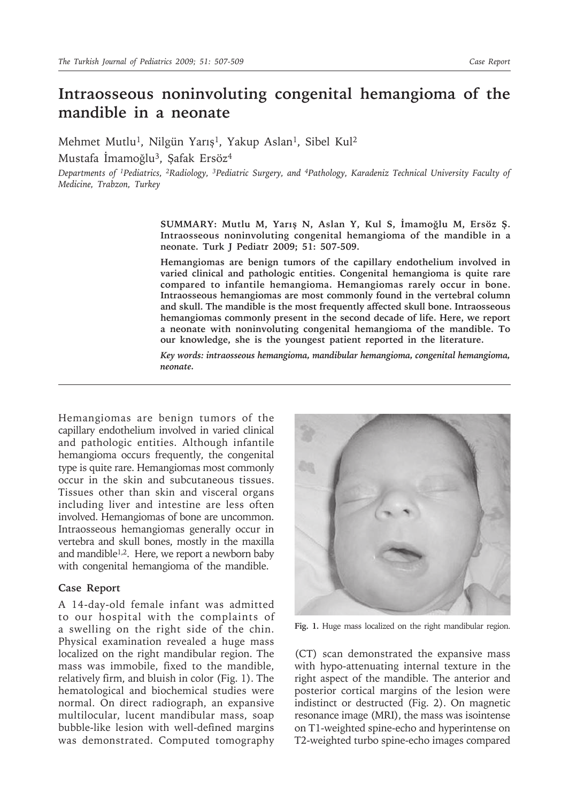# **Intraosseous noninvoluting congenital hemangioma of the mandible in a neonate**

Mehmet Mutlu<sup>1</sup>, Nilgün Yarış<sup>1</sup>, Yakup Aslan<sup>1</sup>, Sibel Kul<sup>2</sup>

Mustafa İmamoğlu3, Şafak Ersöz4

*Departments of 1Pediatrics, 2Radiology, 3Pediatric Surgery, and 4Pathology, Karadeniz Technical University Faculty of Medicine, Trabzon, Turkey*

> **SUMMARY: Mutlu M, Yarış N, Aslan Y, Kul S, İmamoğlu M, Ersöz Ş. Intraosseous noninvoluting congenital hemangioma of the mandible in a neonate. Turk J Pediatr 2009; 51: 507-509.**

> **Hemangiomas are benign tumors of the capillary endothelium involved in varied clinical and pathologic entities. Congenital hemangioma is quite rare compared to infantile hemangioma. Hemangiomas rarely occur in bone. Intraosseous hemangiomas are most commonly found in the vertebral column and skull. The mandible is the most frequently affected skull bone. Intraosseous hemangiomas commonly present in the second decade of life. Here, we report a neonate with noninvoluting congenital hemangioma of the mandible. To our knowledge, she is the youngest patient reported in the literature.**

> *Key words: intraosseous hemangioma, mandibular hemangioma, congenital hemangioma, neonate.*

Hemangiomas are benign tumors of the capillary endothelium involved in varied clinical and pathologic entities. Although infantile hemangioma occurs frequently, the congenital type is quite rare. Hemangiomas most commonly occur in the skin and subcutaneous tissues. Tissues other than skin and visceral organs including liver and intestine are less often involved. Hemangiomas of bone are uncommon. Intraosseous hemangiomas generally occur in vertebra and skull bones, mostly in the maxilla and mandible<sup>1,2</sup>. Here, we report a newborn baby with congenital hemangioma of the mandible.

## **Case Report**

A 14-day-old female infant was admitted to our hospital with the complaints of a swelling on the right side of the chin. Physical examination revealed a huge mass localized on the right mandibular region. The mass was immobile, fixed to the mandible, relatively firm, and bluish in color (Fig. 1). The hematological and biochemical studies were normal. On direct radiograph, an expansive multilocular, lucent mandibular mass, soap bubble-like lesion with well-defined margins was demonstrated. Computed tomography



**Fig. 1.** Huge mass localized on the right mandibular region.

(CT) scan demonstrated the expansive mass with hypo-attenuating internal texture in the right aspect of the mandible. The anterior and posterior cortical margins of the lesion were indistinct or destructed (Fig. 2). On magnetic resonance image (MRI), the mass was isointense on T1-weighted spine-echo and hyperintense on T2-weighted turbo spine-echo images compared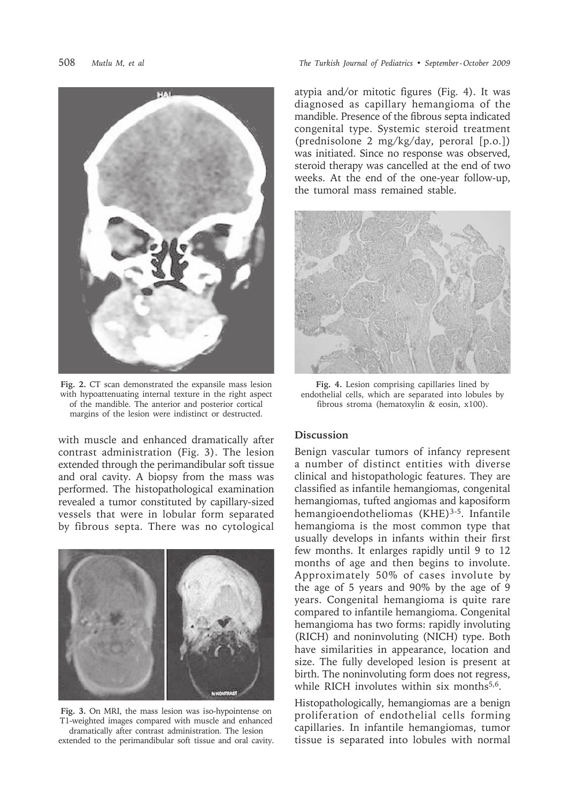

**Fig. 2.** CT scan demonstrated the expansile mass lesion with hypoattenuating internal texture in the right aspect of the mandible. The anterior and posterior cortical margins of the lesion were indistinct or destructed.

with muscle and enhanced dramatically after contrast administration (Fig. 3). The lesion extended through the perimandibular soft tissue and oral cavity. A biopsy from the mass was performed. The histopathological examination revealed a tumor constituted by capillary-sized vessels that were in lobular form separated by fibrous septa. There was no cytological



**Fig. 3.** On MRI, the mass lesion was iso-hypointense on T1-weighted images compared with muscle and enhanced dramatically after contrast administration. The lesion extended to the perimandibular soft tissue and oral cavity.

## 508 *Mutlu M, et al The Turkish Journal of Pediatrics • September - October 2009*

atypia and/or mitotic figures (Fig. 4). It was diagnosed as capillary hemangioma of the mandible. Presence of the fibrous septa indicated congenital type. Systemic steroid treatment (prednisolone 2 mg/kg/day, peroral [p.o.]) was initiated. Since no response was observed, steroid therapy was cancelled at the end of two weeks. At the end of the one-year follow-up, the tumoral mass remained stable.



**Fig. 4.** Lesion comprising capillaries lined by endothelial cells, which are separated into lobules by fibrous stroma (hematoxylin & eosin, x100).

#### **Discussion**

Benign vascular tumors of infancy represent a number of distinct entities with diverse clinical and histopathologic features. They are classified as infantile hemangiomas, congenital hemangiomas, tufted angiomas and kaposiform hemangioendotheliomas (KHE)<sup>3-5</sup>. Infantile hemangioma is the most common type that usually develops in infants within their first few months. It enlarges rapidly until 9 to 12 months of age and then begins to involute. Approximately 50% of cases involute by the age of 5 years and 90% by the age of 9 years. Congenital hemangioma is quite rare compared to infantile hemangioma. Congenital hemangioma has two forms: rapidly involuting (RICH) and noninvoluting (NICH) type. Both have similarities in appearance, location and size. The fully developed lesion is present at birth. The noninvoluting form does not regress, while RICH involutes within six months<sup>5,6</sup>.

Histopathologically, hemangiomas are a benign proliferation of endothelial cells forming capillaries. In infantile hemangiomas, tumor tissue is separated into lobules with normal